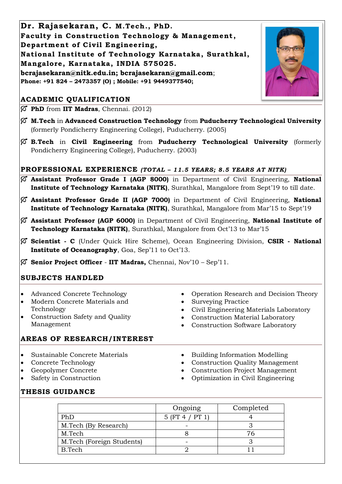**Dr. Rajasekaran, C. M.Tech ., PhD. Faculty in Construction Technology & Management , Department of Civil Engineering, National Institute of Technology Karnataka, Surathkal, Mangalore, Karnataka, INDIA 575025. bcrajasekaran@nitk.edu.in; bcrajasekaran@gmail.com**; **Phone: +91 824 – 2473357 (O) ; Mobile: +91 9449377540;**

# **ACADEMIC QUALIFICATION**

**PhD** from **IIT Madras**, Chennai. (2012)

- **M.Tech** in **Advanced Construction Technology** from **Puducherry Technological University** (formerly Pondicherry Engineering College), Puducherry. (2005)
- **B.Tech** in **Civil Engineering** from **Puducherry Technological University** (formerly Pondicherry Engineering College), Puducherry. (2003)

# **PROFESSIONAL EXPERIENCE** *(TOTAL – 11.5 YEARS; 8.5 YEARS AT NITK)*

- **Assistant Professor Grade I (AGP 8000)** in Department of Civil Engineering, **National Institute of Technology Karnataka (NITK)**, Surathkal, Mangalore from Sept'19 to till date.
- **Assistant Professor Grade II (AGP 7000)** in Department of Civil Engineering, **National Institute of Technology Karnataka (NITK)**, Surathkal, Mangalore from Mar'15 to Sept'19
- **Assistant Professor (AGP 6000)** in Department of Civil Engineering, **National Institute of Technology Karnataka (NITK)**, Surathkal, Mangalore from Oct'13 to Mar'15
- **Scientist - C** (Under Quick Hire Scheme), Ocean Engineering Division, **CSIR - National Institute of Oceanography**, Goa, Sep'11 to Oct'13.
- **Senior Project Officer IIT Madras,** Chennai, Nov'10 Sep'11.

## **SUBJECTS HANDLED**

- Advanced Concrete Technology
- Modern Concrete Materials and Technology
- Construction Safety and Quality Management
- Operation Research and Decision Theory
- Surveying Practice
- Civil Engineering Materials Laboratory
- Construction Material Laboratory
- Construction Software Laboratory

## **AREAS OF RESEARCH/INTEREST**

- Sustainable Concrete Materials
- Concrete Technology
- Geopolymer Concrete
- Safety in Construction
- Building Information Modelling
- Construction Quality Management
- Construction Project Management
- Optimization in Civil Engineering

# **THESIS GUIDANCE**

|                           | Ongoing         | Completed |
|---------------------------|-----------------|-----------|
| PhD                       | 5 (FT 4 / PT 1) |           |
| M.Tech (By Research)      |                 |           |
| M.Tech                    |                 | 76        |
| M.Tech (Foreign Students) |                 |           |
| B.Tech                    |                 |           |

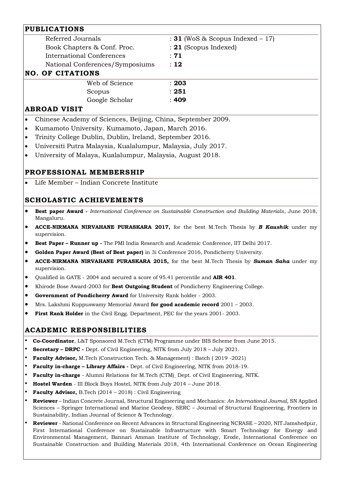| <b>PUBLICATIONS</b>                                                       |                |                                                              |  |
|---------------------------------------------------------------------------|----------------|--------------------------------------------------------------|--|
| Referred Journals                                                         |                | : <b>31</b> (WoS & Scopus Indexed $-17$ )                    |  |
| Book Chapters & Conf. Proc.                                               |                | $: 21$ (Scopus Indexed)                                      |  |
| International Conferences                                                 |                | :71                                                          |  |
| National Conferences/Symposiums                                           |                | : 12                                                         |  |
| <b>NO. OF CITATIONS</b>                                                   |                |                                                              |  |
|                                                                           | Web of Science | : 203                                                        |  |
| Scopus                                                                    |                | : 251                                                        |  |
|                                                                           | Google Scholar | : 409                                                        |  |
| <b>ABROAD VISIT</b>                                                       |                |                                                              |  |
| $\bullet$                                                                 |                | Chinese Academy of Sciences, Beijing, China, September 2009. |  |
| Kumamoto University. Kumamoto, Japan, March 2016.<br>$\bullet$            |                |                                                              |  |
| Trinity College Dublin, Dublin, Ireland, September 2016.<br>$\bullet$     |                |                                                              |  |
| Universiti Putra Malaysia, Kualalumpur, Malaysia, July 2017.<br>$\bullet$ |                |                                                              |  |

• University of Malaya, Kualalumpur, Malaysia, August 2018.

# **PROFESSIONAL MEMBERSHIP**

• Life Member – Indian Concrete Institute

### **SCHOLASTIC ACHIEVEMENTS**

- **Best paper Award -** *International Conference on Sustainable Construction and Building Materials*, June 2018, Mangaluru.
- **ACCE-NIRMANA NIRVAHANE PURASKARA 2017,** for the best M.Tech Thesis by *B Kaushik* under my supervision.
- **Best Paper – Runner up -** The PMI India Research and Academic Conference, IIT Delhi 2017.
- **Golden Paper Award (Best of Best paper)** in 3i Conference 2016, Pondicherry University.
- **ACCE-NIRMANA NIRVAHANE PURASKARA 2015,** for the best M.Tech Thesis by *Suman Saha* under my supervision.
- Qualified in GATE 2004 and secured a score of 95.41 percentile and **AIR 401**.
- Khirode Bose Award-2003 for **Best Outgoing Student** of Pondicherry Engineering College.
- **Government of Pondicherry Award** for University Rank holder 2003.
- Mrs. Lakshmi Kuppuswamy Memorial Award **for good academic record** 2001 2003.
- **First Rank Holder** in the Civil Engg. Department, PEC for the years 2001- 2003.

#### **ACADEMIC RESPONSIBILITIES**

- **Co-Coordinator**, L&T Sponsored M.Tech (CTM) Programme under BIS Scheme from June 2015.
- **Secretary – DRPC -** Dept. of Civil Engineering, NITK from July 2018 July 2021.
- **Faculty Advisor,** M.Tech (Construction Tech. & Management) : Batch ( 2019 -2021)
- **Faculty in-charge – Library Affairs -** Dept. of Civil Engineering, NITK from 2018-19.
- **Faculty in-charge**  Alumni Relations for M.Tech (CTM)¸ Dept. of Civil Engineering, NITK.
- **Hostel Warden** III Block Boys Hostel, NITK from July 2014 June 2018.
- **Faculty Advisor,** B.Tech (2014 2018) : Civil Engineering
- **Reviewer** Indian Concrete Journal, Structural Engineering and Mechanics: *An International Journal,* SN Applied Sciences – Springer International and Marine Geodesy, SERC – Journal of Structural Engineering, Frontiers in Sustainability, Indian Journal of Science & Technology.
- **Reviewer**  National Conference on Recent Advances in Structural Engineering NCRASE 2020, NIT Jamshedpur, First International Conference on Sustainable Infrastructure with Smart Technology for Energy and Environmental Management, Bannari Amman Institute of Technology, Erode, International Conference on Sustainable Construction and Building Materials 2018, 4th International Conference on Ocean Engineering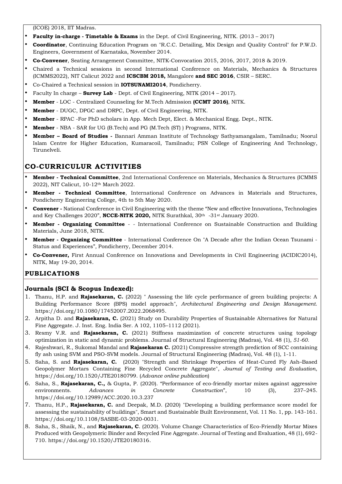(ICOE) 2018, IIT Madras.

- **Faculty in-charge - Timetable & Exams** in the Dept. of Civil Engineering, NITK. (2013 2017)
- **Coordinator**, Continuing Education Program on "R.C.C. Detailing, Mix Design and Quality Control" for P.W.D. Engineers, Government of Karnataka, November 2014.
- **Co-Convener**, Seating Arrangement Committee, NITK-Convocation 2015, 2016, 2017, 2018 & 2019.
- Chaired a Technical sessions in second International Conference on Materials, Mechanics & Structures (ICMMS2022), NIT Calicut 2022 and **ICSCBM 2018,** Mangalore **and SEC 2016**, CSIR – SERC.
- Co-Chaired a Technical session in **IOTSUNAMI2014**, Pondicherry.
- Faculty In charge **Survey Lab**  Dept. of Civil Engineering, NITK (2014 2017).
- **Member** LOC Centralized Counseling for M.Tech Admission **(CCMT 2016)**, NITK.
- **Member** DUGC, DPGC and DRPC, Dept. of Civil Engineering, NITK.
- **Member**  RPAC -For PhD scholars in App. Mech Dept, Elect. & Mechanical Engg. Dept., NITK.
- **Member** NBA SAR for UG (B.Tech) and PG (M.Tech (ST) ) Programs, NITK.
- **Member – Board of Studies -** Bannari Amman Institute of Technology Sathyamangalam, Tamilnadu; Noorul Islam Centre for Higher Education, Kumaracoil, Tamilnadu; PSN College of Engineering And Technology, Tirunelveli.

## **CO-CURRICULUR ACTIVITIES**

- **Member - Technical Committee**, 2nd International Conference on Materials, Mechanics & Structures (ICMMS 2022), NIT Calicut, 10-12th March 2022.
- **Member - Technical Committee**, International Conference on Advances in Materials and Structures, Pondicherry Engineering College, 4th to 5th May 2020.
- **Convener -** National Conference in Civil Engineering with the theme "New and effective Innovations, Technologies and Key Challenges 2020", **NCCE-NITK 2020,** NITK Surathkal, 30th -31st January 2020.
- **Member - Organizing Committee** - International Conference on Sustainable Construction and Building Materials, June 2018, NITK.
- **Member - Organizing Committee** International Conference On "A Decade after the Indian Ocean Tsunami Status and Experiences", Pondicherry, December 2014.
- **Co-Convener,** First Annual Conference on Innovations and Developments in Civil Engineering (ACIDIC2014), NITK, May 19-20, 2014.

## **PUBLICATIONS**

#### **Journals (SCI & Scopus Indexed):**

- 1. Thanu, H.P. and **Rajasekaran, C.** (2022) " Assessing the life cycle performance of green building projects: A Building Performance Score (BPS) model approach", *Architectural Engineering and Design Management*. https://doi.org/10.1080/17452007.2022.2068495.
- 2. Arpitha D. and **Rajasekaran, C.** (2021) Study on Durability Properties of Sustainable Alternatives for Natural Fine Aggregate. J. Inst. Eng. India Ser. A 102, 1105–1112 (2021).
- 3. Resmy V.R. and **Rajasekaran, C.** (2021) Stiffness maximization of concrete structures using topology optimization in static and dynamic problems. Journal of Structural Engineering (Madras), Vol. 48 (1), *51-60.*
- 4. Rajeshwari, R., Sukomal Mandal and **Rajasekaran C.** (2021) Compressive strength prediction of SCC containing fly ash using SVM and PSO-SVM models. Journal of Structural Engineering (Madras), Vol. 48 (1), 1-11*.*
- 5. Saha, S. and **Rajasekaran, C.** (2020) "Strength and Shrinkage Properties of Heat-Cured Fly Ash–Based Geopolymer Mortars Containing Fine Recycled Concrete Aggregate", *Journal of Testing and Evaluation*, https://doi.org/10.1520/JTE20180799. (*Advance online publication*)
- 6. Saha, S., **Rajasekaran, C.,** & Gupta, P. (2020). "Performance of eco-friendly mortar mixes against aggressive environments. *Advances in Concrete Construction*", 10 (3), 237–245. https://doi.org/10.12989/ACC.2020.10.3.237
- 7. Thanu, H.P., **Rajasekaran, C.** and Deepak, M.D. (2020) "Developing a building performance score model for assessing the sustainability of buildings", Smart and Sustainable Built Environment, Vol. 11 No. 1, pp. 143-161. https://doi.org/10.1108/SASBE-03-2020-0031.
- 8. Saha, S., Shaik, N., and **Rajasekaran, C**. (2020). Volume Change Characteristics of Eco-Friendly Mortar Mixes Produced with Geopolymeric Binder and Recycled Fine Aggregate. Journal of Testing and Evaluation, 48 (1), 692- 710. https://doi.org/10.1520/JTE20180316.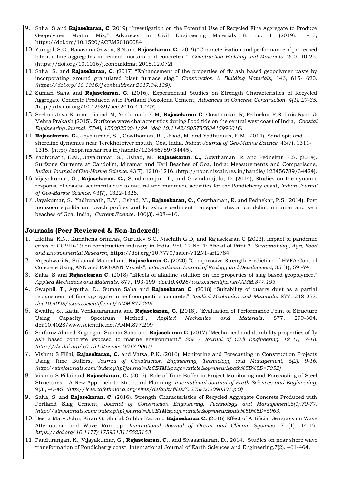- 9. Saha, S and **Rajasekaran, C** (2019) "Investigation on the Potential Use of Recycled Fine Aggregate to Produce Geopolymer Mortar Mix," Advances in Civil Engineering Materials 8, no. 1 (2019): 1–17, https://doi.org/10.1520/ACEM20180084
- 10. Yaragal, S.C., Basavana Gowda, S N and **Rajasekaran, C.** (2019) "Characterization and performance of processed lateritic fine aggregates in cement mortars and concretes ", *Construction Building and Materials*. 200, 10-25. (https://doi.org/10.1016/j.conbuildmat.2018.12.072)
- 11. Saha, S. and **Rajasekaran, C**. (2017) "Enhancement of the properties of fly ash based geopolymer paste by incorporating ground granulated blast furnace slag." *Construction & Building Materials,* 146, 615- 620. *(https://doi.org/10.1016/j.conbuildmat.2017.04.139).*
- 12. Suman Saha and **Rajasekaran, C.** (2016). Experimental Studies on Strength Characteristics of Recycled Aggregate Concrete Produced with Portland Pozzolona Cement, *Advances in Concrete Construction. 4(1), 27-35. (*http://dx.doi.org/10.12989/acc.2016.4.1.027)
- 13. Seelam Jaya Kumar, Jishad M, Yadhunath E M, **Rajasekaran C**, Gowthaman R, Pednekar P S, Luis Ryan & Mehra Prakash (2015). Surfzone wave characteristics during flood tide on the central west coast of India, *Coastal Engineering Journal. 57(4), 155002200-1/24. (doi: 10.1142/S0578563415990016).*
- 14. **Rajasekaran, C.,** Jayakumar, S. , Gowthaman, R. , Jisad, M. and Yadhunath, E.M. (2014). Sand spit and shoreline dynamics near Terekhol river mouth, Goa, India*. Indian Journal of Geo-Marine Science.* 43(7), 1311- 1315. (http://nopr.niscair.res.in/handle/123456789/34445).
- 15. Yadhunath, E.M., Jayakumar, S., Jishad, M., **Rajasekaran, C.,** Gowthaman, R. and Pednekar, P.S. (2014). Surfzone Currents at Candolim, Miramar and Keri Beaches of Goa, India: Measurements and Comparisons*, Indian Journal of Geo-Marine Science*. 43(7), 1210-1216. (http://nopr.niscair.res.in/handle/123456789/34424).
- 16. Vijayakumar, G., **Rajasekaran, C.,** Sundararajan, T., and Govindarajulu, D. (2014), Studies on the dynamic response of coastal sediments due to natural and manmade activities for the Pondicherry coast*, Indian Journal of Geo-Marine Science*. 43(7), 1322-1326.
- 17. Jayakumar, S., Yadhunath, E.M., Jishad, M., **Rajasekaran, C.**, Gowthaman, R. and Pednekar, P.S. (2014). Post monsoon equilibrium beach profiles and longshore sediment transport rates at candolim, miramar and keri beaches of Goa, India, *Current Science*. 106(3). 408-416.

#### **Journals (Peer Reviewed & Non-Indexed):**

- 1. Likitha, K.N., Kundhena Srinivas, Gurudev S C, Nischith G D, and Rajasekaran C (2023), Impact of pandemic crisis of COVID-19 on construction industry in India. Vol. 12 No. 1: Ahead of Print 3. *Sustainability, Agri, Food and Environmental Research*, https://doi.org/10.7770/safer-V12N1-art2784
- 2. Rajeshwari R, Sukomal Mandal and **Rajasekaran C.** (2020) "Compressive Strength Prediction of HVFA Control Concrete Using ANN and PSO-ANN Models", *International Journal of Ecology and Development*, 35 (1), 59 -74.
- 3. Saha, S and **Rajasekaran C**. (2018) "Effects of alkaline solution on the properties of slag based geopolymer." *Applied Mechanics and Materials*. 877, 193-199*. doi:10.4028/www.scientific.net/AMM.877.193*
- 4. Swapnil, T., Arpitha, D., Suman Saha and **Rajasekaran C**. (2018) "Suitability of quarry dust as a partial replacement of fine aggregate in self-compacting concrete." *Applied Mechanics and Materials*. 877, 248-253*. doi:10.4028/www.scientific.net/AMM.877.248*
- 5. Swathi, S., Katta Venkataramana and **Rajasekaran, C. (**2018). "Evaluation of Performance Point of Structure Using Capacity Spectrum Method", *Applied Mechanics and Materials*, 877, 299-304. doi:10.4028/www.scientific.net/AMM.877.299
- 6. Sarfaraz Ahmed Kagadgar, Suman Saha and **Rajasekaran C**. (2017) "Mechanical and durability properties of fly ash based concrete exposed to marine environment." *SSP - Journal of Civil Engineering. 12 (1), 7-18. (http://dx.doi.org/10.1515/sspjce-2017-0001).*
- 7. Vishnu S Pillai, **Rajasekaran, C.** and Vatsa, P.K. (2016). Monitoring and Forecasting in Construction Projects Using Time Buffers, *Journal of Construction Engineering, Technology and Management, 6(2), 9-16. (http://stmjournals.com/index.php?journal=JoCETM&page=article&op=view&path%5B%5D=7052)*
- 8. Vishnu S Pillai and **Rajasekaran**, **C.** (2016). Role of Time Buffer in Project Monitoring and Forecasting of Steel Structures – A New Approach to Structural Planning*, International Journal of Earth Sciences and Engineering,*  9(3), 40-45. *(http://icee.cafetinnova.org/sites/default/files/%23SPL02090307.pdf)*
- 9. Saha, S. and **Rajasekaran, C.** (2016). Strength Characteristics of Recycled Aggregate Concrete Produced with Portland Slag Cement, *Journal of Construction Engineering, Technology and Management,6(1).70-77. (http://stmjournals.com/index.php?journal=JoCETM&page=article&op=view&path%5B%5D=6963)*
- 10. Beena Mary John, Kiran G. Shirlal, Subba Rao and **Rajasekaran C.** (2016) Effect of Artificial Seagrass on Wave Attenuation and Wave Run up, *International Journal of Ocean and Climate Systems*. 7 (1). 14-19. *https://doi.org/10.1177/1759313115623163*
- 11. Pandurangan, K., Vijayakumar, G., **Rajasekaran, C.**, and Sivasankaran, D., 2014. Studies on near shore wave transformation of Pondicherry coast, International Journal of Earth Sciences and Engineering.7(2). 461-464.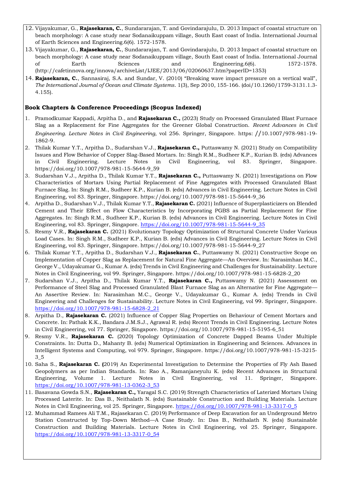- 12. Vijayakumar, G., **Rajasekaran, C.**, Sundararajan, T. and Govindarajulu, D. 2013 Impact of coastal structure on beach morphology: A case study near Sodanaikuppam village, South East coast of India. International Journal of Earth Sciences and Engineering.6(6). 1572-1578.
- 13. Vijayakumar, G., **Rajasekaran, C.**, Sundararajan, T. and Govindarajulu, D. 2013 Impact of coastal structure on beach morphology: A case study near Sodanaikuppam village, South East coast of India. International Journal of Earth Sciences and Engineering.6(6). 1572-1578. (http://cafetinnova.org/innova/archiveList/IJEE/2013/06/02060637.htm?paperID=1353)
- 14. **Rajasekaran, C.**, Sannasiraj, S.A. and Sundar, V. (2010) "Breaking wave impact pressure on a vertical wall", *The International Journal of Ocean and Climate Systems*. 1(3), Sep 2010, 155-166. (doi/10.1260/1759-3131.1.3- 4.155).

#### **Book Chapters & Conference Proceedings (Scopus Indexed)**

- 1. Pramodkumar Kappadi, Arpitha D., and **Rajasekaran C.,** (2023) Study on Processed Granulated Blast Furnace Slag as a Replacement for Fine Aggregates for the Greener Global Construction. *Recent Advances in Civil Engineering. Lecture Notes in Civil Engineering*, vol 256. Springer, Singapore. https: //10.1007/978-981-19- 1862-9.
- 2. Thilak Kumar Y.T., Arpitha D., Sudarshan V.J., **Rajasekaran C.,** Puttaswamy N. (2021) Study on Compatibility Issues and Flow Behavior of Copper Slag-Based Mortars. In: Singh R.M., Sudheer K.P., Kurian B. (eds) Advances in Civil Engineering. Lecture Notes in Civil Engineering, vol 83. Springer, Singapore. https://doi.org/10.1007/978-981-15-5644-9\_59
- 3. Sudarshan V.J., Arpitha D., Thilak Kumar Y.T., **Rajasekaran C.,** Puttaswamy N. (2021) Investigations on Flow Characteristics of Mortars Using Partial Replacement of Fine Aggregates with Processed Granulated Blast Furnace Slag. In: Singh R.M., Sudheer K.P., Kurian B. (eds) Advances in Civil Engineering. Lecture Notes in Civil Engineering, vol 83. Springer, Singapore. https://doi.org/10.1007/978-981-15-5644-9\_36
- 4. Arpitha D., Sudarshan V.J., Thilak Kumar Y.T., **Rajasekaran C.** (2021) Influence of Superplasticizers on Blended Cement and Their Effect on Flow Characteristics by Incorporating PGBS as Partial Replacement for Fine Aggregates. In: Singh R.M., Sudheer K.P., Kurian B. (eds) Advances in Civil Engineering. Lecture Notes in Civil Engineering, vol 83. Springer, Singapore[. https://doi.org/10.1007/978-981-15-5644-9\\_35](https://doi.org/10.1007/978-981-15-5644-9_35)
- 5. Resmy V.R., **Rajasekaran C.** (2021) Evolutionary Topology Optimization of Structural Concrete Under Various Load Cases. In: Singh R.M., Sudheer K.P., Kurian B. (eds) Advances in Civil Engineering. Lecture Notes in Civil Engineering, vol 83. Springer, Singapore. https://doi.org/10.1007/978-981-15-5644-9\_27
- 6. Thilak Kumar Y.T., Arpitha D., Sudarshan V.J., **Rajasekaran C.**, Puttaswamy N. (2021) Constructive Scope on Implementation of Copper Slag as Replacement for Natural Fine Aggregate—An Overview. In: Narasimhan M.C., George V., Udayakumar G., Kumar A. (eds) Trends in Civil Engineering and Challenges for Sustainability. Lecture Notes in Civil Engineering, vol 99. Springer, Singapore. https://doi.org/10.1007/978-981-15-6828-2\_20
- 7. Sudarshan V.J., Arpitha D., Thilak Kumar Y.T., **Rajasekaran C.,** Puttaswamy N. (2021) Assessment on Performance of Steel Slag and Processed Granulated Blast Furnace Slag as an Alternative for Fine Aggregate— An Assertive Review. In: Narasimhan M.C., George V., Udayakumar G., Kumar A. (eds) Trends in Civil Engineering and Challenges for Sustainability. Lecture Notes in Civil Engineering, vol 99. Springer, Singapore. [https://doi.org/10.1007/978-981-15-6828-2\\_21](https://doi.org/10.1007/978-981-15-6828-2_21)
- 8. Arpitha D., **Rajasekaran C.** (2021) Influence of Copper Slag Properties on Behaviour of Cement Mortars and Concrete. In: Pathak K.K., Bandara J.M.S.J., Agrawal R. (eds) Recent Trends in Civil Engineering. Lecture Notes in Civil Engineering, vol 77. Springer, Singapore. https://doi.org/10.1007/978-981-15-5195-6\_51
- 9. Resmy V.R., **Rajasekaran C.** (2020) Topology Optimization of Concrete Dapped Beams Under Multiple Constraints. In: Dutta D., Mahanty B. (eds) Numerical Optimization in Engineering and Sciences. Advances in Intelligent Systems and Computing, vol 979. Springer, Singapore. https://doi.org/10.1007/978-981-15-3215- 3\_5
- 10. Saha S., **Rajasekaran C. (**2019) An Experimental Investigation to Determine the Properties of Fly Ash Based Geopolymers as per Indian Standards. In: Rao A., Ramanjaneyulu K. (eds) Recent Advances in Structural Engineering, Volume 1. Lecture Notes in Civil Engineering, vol 11. Springer, Singapore. [https://doi.org/10.1007/978-981-13-0362-3\\_53](https://doi.org/10.1007/978-981-13-0362-3_53)
- 11. Basavana Gowda S.N., **Rajasekaran C.,** Yaragal S.C. (2019) Strength Characteristics of Laterized Mortars Using Processed Laterite. In: Das B., Neithalath N. (eds) Sustainable Construction and Building Materials. Lecture Notes in Civil Engineering, vol 25. Springer, Singapore. [https://doi.org/10.1007/978-981-13-3317-0\\_5](https://doi.org/10.1007/978-981-13-3317-0_5)
- 12. Muhammad Ramees Ali T.M., Rajasekaran C. (2019) Performance of Deep Excavation for an Underground Metro Station Constructed by Top-Down Method—A Case Study. In: Das B., Neithalath N. (eds) Sustainable Construction and Building Materials. Lecture Notes in Civil Engineering, vol 25. Springer, Singapore. [https://doi.org/10.1007/978-981-13-3317-0\\_54](https://doi.org/10.1007/978-981-13-3317-0_54)